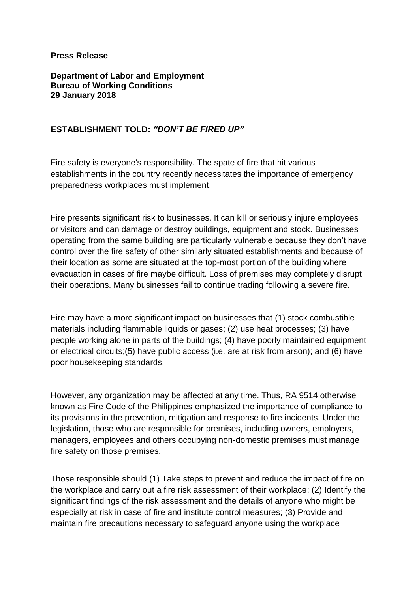## **Press Release**

**Department of Labor and Employment Bureau of Working Conditions 29 January 2018**

## **ESTABLISHMENT TOLD:** *"DON'T BE FIRED UP"*

Fire safety is everyone's responsibility. The spate of fire that hit various establishments in the country recently necessitates the importance of emergency preparedness workplaces must implement.

Fire presents significant risk to businesses. It can kill or seriously injure employees or visitors and can damage or destroy buildings, equipment and stock. Businesses operating from the same building are particularly vulnerable because they don't have control over the fire safety of other similarly situated establishments and because of their location as some are situated at the top-most portion of the building where evacuation in cases of fire maybe difficult. Loss of premises may completely disrupt their operations. Many businesses fail to continue trading following a severe fire.

Fire may have a more significant impact on businesses that (1) stock combustible materials including flammable liquids or gases; (2) use heat processes; (3) have people working alone in parts of the buildings; (4) have poorly maintained equipment or electrical circuits;(5) have public access (i.e. are at risk from arson); and (6) have poor housekeeping standards.

However, any organization may be affected at any time. Thus, RA 9514 otherwise known as Fire Code of the Philippines emphasized the importance of compliance to its provisions in the prevention, mitigation and response to fire incidents. Under the legislation, those who are responsible for premises, including owners, employers, managers, employees and others occupying non-domestic premises must manage fire safety on those premises.

Those responsible should (1) Take steps to prevent and reduce the impact of fire on the workplace and carry out a fire risk assessment of their workplace; (2) Identify the significant findings of the risk assessment and the details of anyone who might be especially at risk in case of fire and institute control measures; (3) Provide and maintain fire precautions necessary to safeguard anyone using the workplace